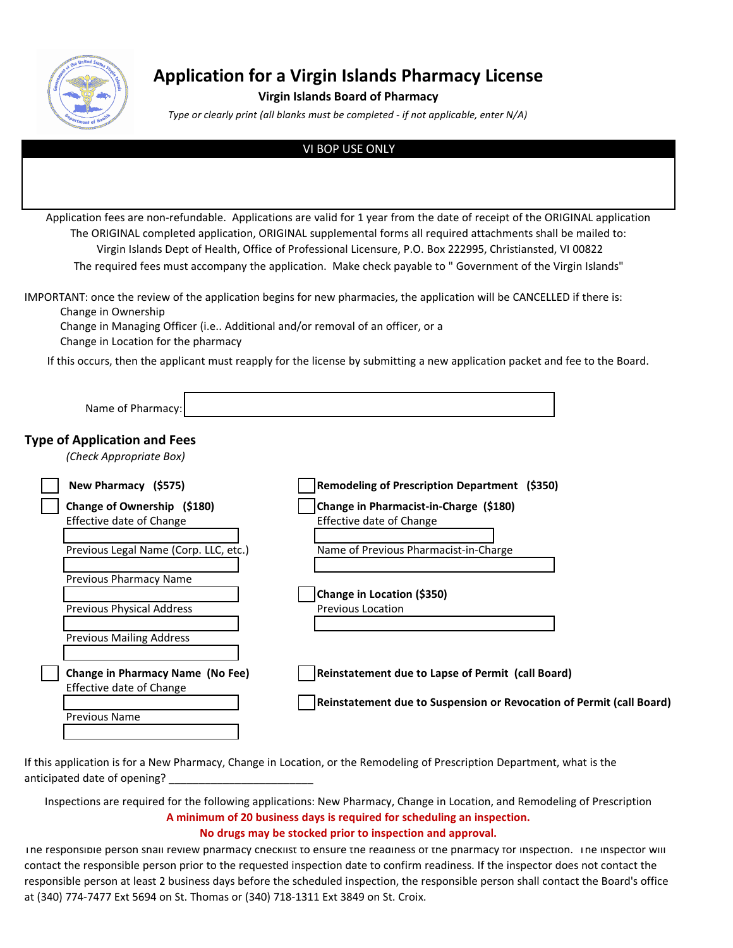

# **Application for a Virgin Islands Pharmacy License**

### **Virgin Islands Board of Pharmacy**

*Type or clearly print (all blanks must be completed - if not applicable, enter N/A)*

#### VI BOP USE ONLY

Application fees are non-refundable. Applications are valid for 1 year from the date of receipt of the ORIGINAL application The ORIGINAL completed application, ORIGINAL supplemental forms all required attachments shall be mailed to: Virgin Islands Dept of Health, Office of Professional Licensure, P.O. Box 222995, Christiansted, VI 00822 The required fees must accompany the application. Make check payable to " Government of the Virgin Islands"

Change in Ownership IMPORTANT: once the review of the application begins for new pharmacies, the application will be CANCELLED if there is:

Change in Managing Officer (i.e.. Additional and/or removal of an officer, or a Change in Location for the pharmacy

If this occurs, then the applicant must reapply for the license by submitting a new application packet and fee to the Board.

| Name of Pharmacy:                                                   |                                                                      |
|---------------------------------------------------------------------|----------------------------------------------------------------------|
| <b>Type of Application and Fees</b><br>(Check Appropriate Box)      |                                                                      |
| New Pharmacy (\$575)                                                | Remodeling of Prescription Department (\$350)                        |
| Change of Ownership (\$180)<br>Effective date of Change             | Change in Pharmacist-in-Charge (\$180)<br>Effective date of Change   |
| Previous Legal Name (Corp. LLC, etc.)                               | Name of Previous Pharmacist-in-Charge                                |
| Previous Pharmacy Name                                              | Change in Location (\$350)                                           |
| Previous Physical Address                                           | <b>Previous Location</b>                                             |
| <b>Previous Mailing Address</b>                                     |                                                                      |
| <b>Change in Pharmacy Name (No Fee)</b><br>Effective date of Change | Reinstatement due to Lapse of Permit (call Board)                    |
| <b>Previous Name</b>                                                | Reinstatement due to Suspension or Revocation of Permit (call Board) |
|                                                                     |                                                                      |

If this application is for a New Pharmacy, Change in Location, or the Remodeling of Prescription Department, what is the anticipated date of opening?

Inspections are required for the following applications: New Pharmacy, Change in Location, and Remodeling of Prescription **A minimum of 20 business days is required for scheduling an inspection. No drugs may be stocked prior to inspection and approval.**

The responsible person shall review pharmacy checklist to ensure the readiness of the pharmacy for inspection. The inspector will contact the responsible person prior to the requested inspection date to confirm readiness. If the inspector does not contact the responsible person at least 2 business days before the scheduled inspection, the responsible person shall contact the Board's office at (340) 774-7477 Ext 5694 on St. Thomas or (340) 718-1311 Ext 3849 on St. Croix.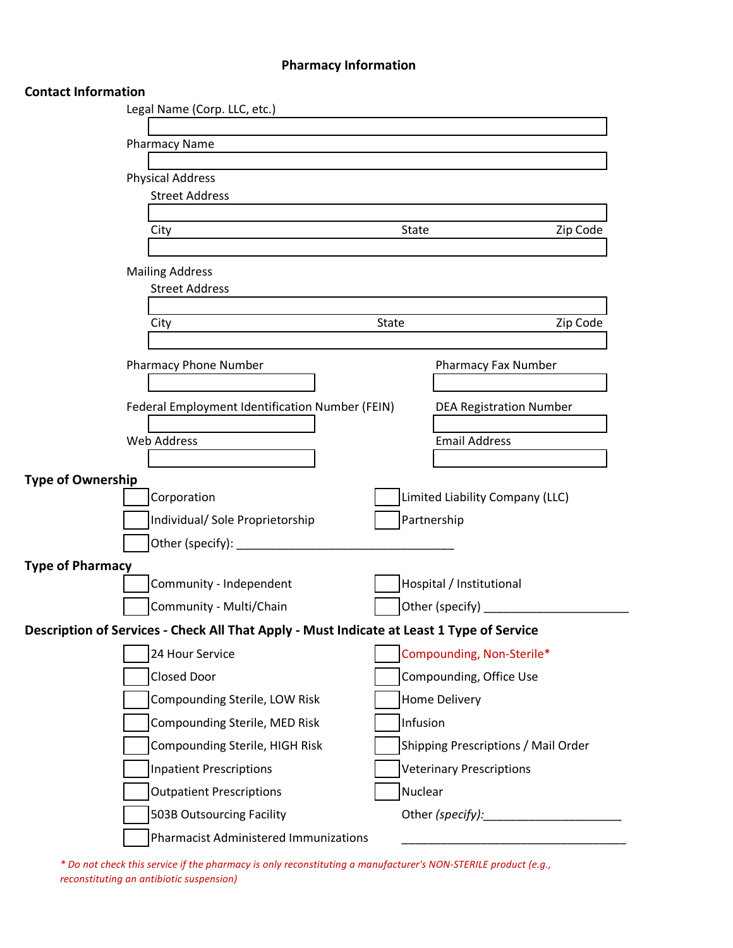# **Pharmacy Information**

## **Contact Information**

| Legal Name (Corp. LLC, etc.)                                                              |              |                                     |
|-------------------------------------------------------------------------------------------|--------------|-------------------------------------|
| <b>Pharmacy Name</b>                                                                      |              |                                     |
|                                                                                           |              |                                     |
| <b>Physical Address</b>                                                                   |              |                                     |
| <b>Street Address</b>                                                                     |              |                                     |
| City                                                                                      | <b>State</b> | Zip Code                            |
|                                                                                           |              |                                     |
| <b>Mailing Address</b>                                                                    |              |                                     |
| <b>Street Address</b>                                                                     |              |                                     |
| City                                                                                      | State        | Zip Code                            |
|                                                                                           |              |                                     |
| <b>Pharmacy Phone Number</b>                                                              |              | Pharmacy Fax Number                 |
|                                                                                           |              |                                     |
| Federal Employment Identification Number (FEIN)                                           |              | <b>DEA Registration Number</b>      |
| <b>Web Address</b>                                                                        |              | <b>Email Address</b>                |
|                                                                                           |              |                                     |
| <b>Type of Ownership</b>                                                                  |              |                                     |
| Corporation                                                                               |              | Limited Liability Company (LLC)     |
| Individual/ Sole Proprietorship                                                           |              | Partnership                         |
| Other (specify): _______                                                                  |              |                                     |
| <b>Type of Pharmacy</b><br>Community - Independent                                        |              | Hospital / Institutional            |
| Community - Multi/Chain                                                                   |              | Other (specify)                     |
| Description of Services - Check All That Apply - Must Indicate at Least 1 Type of Service |              |                                     |
| 24 Hour Service                                                                           |              | Compounding, Non-Sterile*           |
| <b>Closed Door</b>                                                                        |              | Compounding, Office Use             |
| Compounding Sterile, LOW Risk                                                             |              | Home Delivery                       |
| Compounding Sterile, MED Risk                                                             | Infusion     |                                     |
| Compounding Sterile, HIGH Risk                                                            |              | Shipping Prescriptions / Mail Order |
| <b>Inpatient Prescriptions</b>                                                            |              | <b>Veterinary Prescriptions</b>     |
| <b>Outpatient Prescriptions</b>                                                           | Nuclear      |                                     |
| 503B Outsourcing Facility                                                                 |              | Other (specify):                    |
| <b>Pharmacist Administered Immunizations</b>                                              |              |                                     |
|                                                                                           |              |                                     |

*\* Do not check this service if the pharmacy is only reconstituting a manufacturer's NON-STERILE product (e.g., reconstituting an antibiotic suspension)*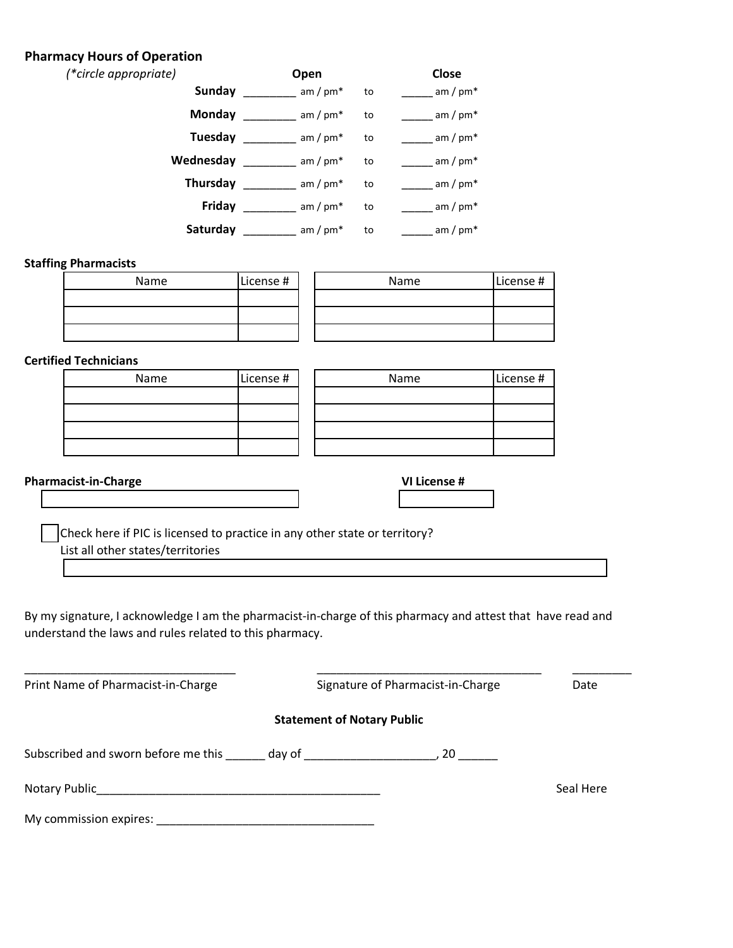## **Pharmacy Hours of Operation**

| (*circle appropriate) | Open       |    | Close      |
|-----------------------|------------|----|------------|
| <b>Sunday</b>         | am / $pm*$ | to | am / $pm*$ |
| Monday                | am / $pm*$ | to | am / $pm*$ |
| Tuesday               | am / $pm*$ | to | am / $pm*$ |
| Wednesday             | am / $pm*$ | to | am / $pm*$ |
| <b>Thursday</b>       | am / $pm*$ | to | am / $pm*$ |
| Friday                | am / $pm*$ | to | am / $pm*$ |
| Saturday              | am / $pm*$ | to | am / $pm*$ |

#### **Staffing Pharmacists**

| Name | License # | Name | License # |
|------|-----------|------|-----------|
|      |           |      |           |
|      |           |      |           |
|      |           |      |           |

#### **Certified Technicians**

| Name | License # | Name | License # |
|------|-----------|------|-----------|
|      |           |      |           |
|      |           |      |           |
|      |           |      |           |
|      |           |      |           |

# **Pharmacist-in-Charge**

| VI. | П<br>cense |  |
|-----|------------|--|
|     |            |  |

Check here if PIC is licensed to practice in any other state or territory? List all other states/territories

By my signature, I acknowledge I am the pharmacist-in-charge of this pharmacy and attest that have read and understand the laws and rules related to this pharmacy.

| Print Name of Pharmacist-in-Charge         |                                   | Signature of Pharmacist-in-Charge | Date      |
|--------------------------------------------|-----------------------------------|-----------------------------------|-----------|
|                                            | <b>Statement of Notary Public</b> |                                   |           |
| Subscribed and sworn before me this day of |                                   |                                   |           |
| Notary Public                              |                                   |                                   | Seal Here |
| My commission expires:                     |                                   |                                   |           |